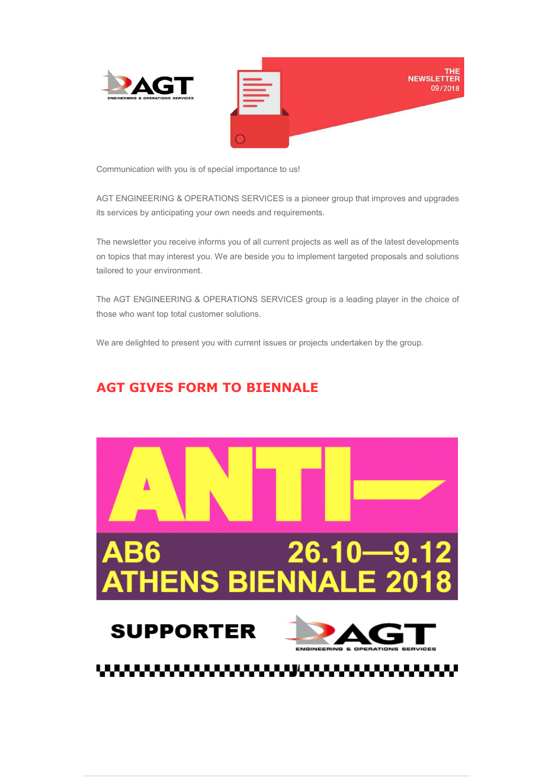



Communication with you is of special importance to us!

AGT ENGINEERING & OPERATIONS SERVICES is a pioneer group that improves and upgrades its services by anticipating your own needs and requirements.

The newsletter you receive informs you of all current projects as well as of the latest developments on topics that may interest you. We are beside you to implement targeted proposals and solutions tailored to your environment.

The AGT ENGINEERING & OPERATIONS SERVICES group is a leading player in the choice of those who want top total customer solutions.

We are delighted to present you with current issues or projects undertaken by the group.

## AGT GIVES FORM TO BIENNALE